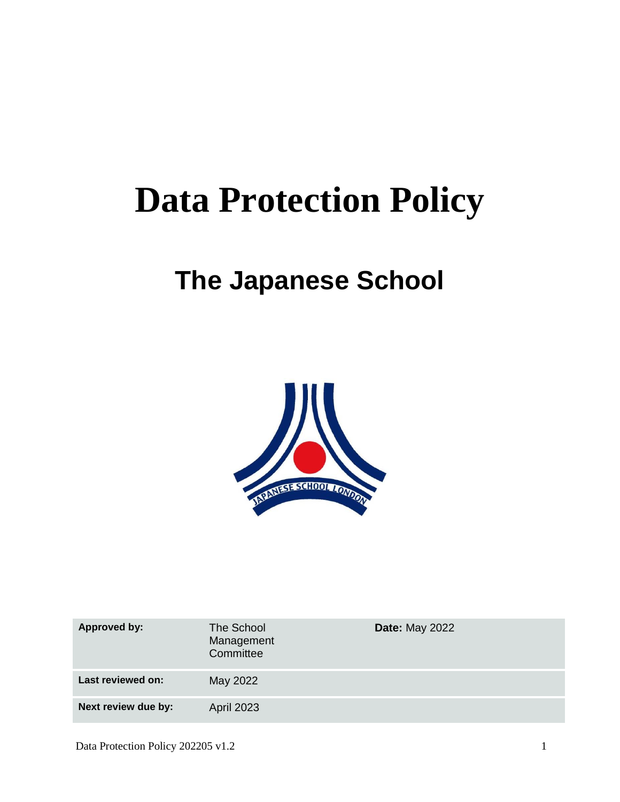# **Data Protection Policy**

# **The Japanese School**



| <b>Approved by:</b> | The School<br>Management<br>Committee | <b>Date: May 2022</b> |
|---------------------|---------------------------------------|-----------------------|
| Last reviewed on:   | May 2022                              |                       |
| Next review due by: | <b>April 2023</b>                     |                       |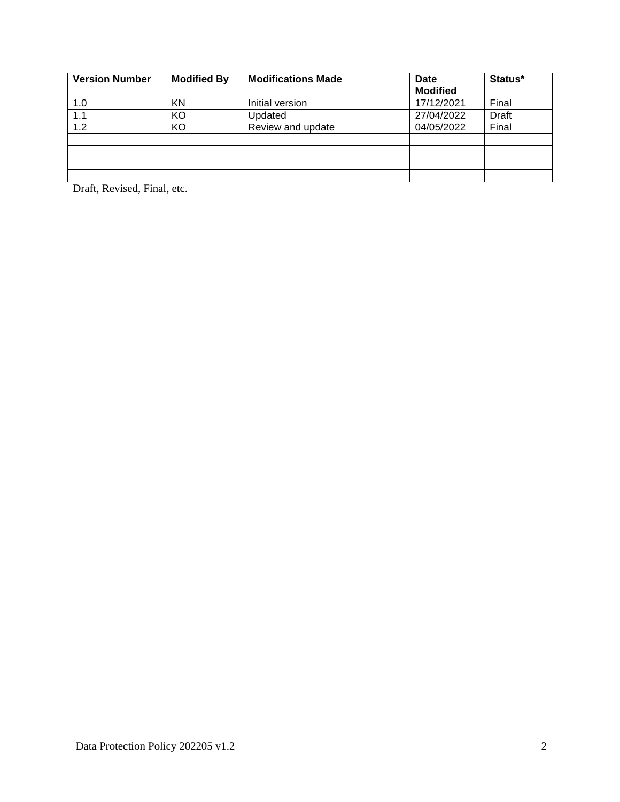| <b>Version Number</b> | <b>Modified By</b> | <b>Modifications Made</b> | Date            | Status* |
|-----------------------|--------------------|---------------------------|-----------------|---------|
|                       |                    |                           | <b>Modified</b> |         |
| 1.0                   | KN                 | Initial version           | 17/12/2021      | Final   |
| 1.1                   | KO                 | Updated                   | 27/04/2022      | Draft   |
| 1.2                   | KO                 | Review and update         | 04/05/2022      | Final   |
|                       |                    |                           |                 |         |
|                       |                    |                           |                 |         |
|                       |                    |                           |                 |         |
|                       |                    |                           |                 |         |

Draft, Revised, Final, etc.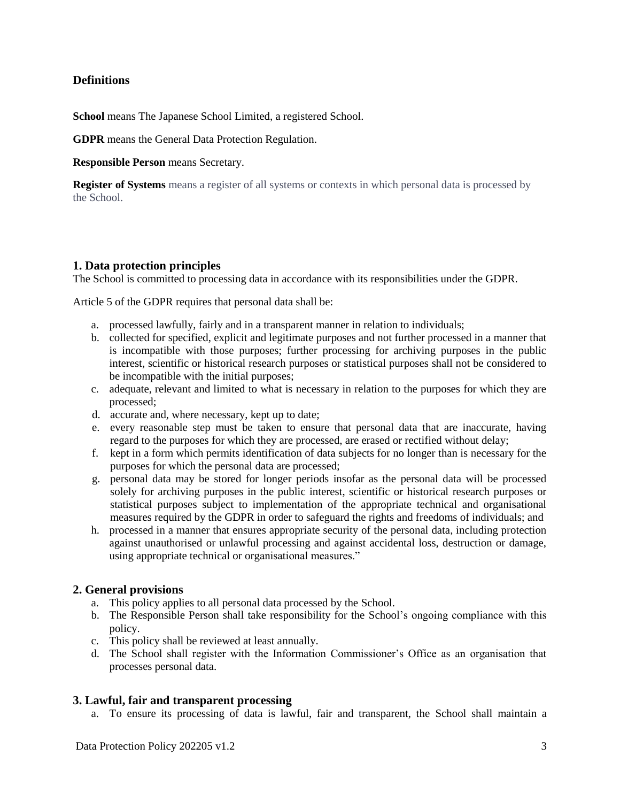#### **Definitions**

**School** means The Japanese School Limited, a registered School.

**GDPR** means the General Data Protection Regulation.

**Responsible Person** means Secretary.

**Register of Systems** means a register of all systems or contexts in which personal data is processed by the School.

#### **1. Data protection principles**

The School is committed to processing data in accordance with its responsibilities under the GDPR.

Article 5 of the GDPR requires that personal data shall be:

- a. processed lawfully, fairly and in a transparent manner in relation to individuals;
- b. collected for specified, explicit and legitimate purposes and not further processed in a manner that is incompatible with those purposes; further processing for archiving purposes in the public interest, scientific or historical research purposes or statistical purposes shall not be considered to be incompatible with the initial purposes;
- c. adequate, relevant and limited to what is necessary in relation to the purposes for which they are processed;
- d. accurate and, where necessary, kept up to date;
- e. every reasonable step must be taken to ensure that personal data that are inaccurate, having regard to the purposes for which they are processed, are erased or rectified without delay;
- f. kept in a form which permits identification of data subjects for no longer than is necessary for the purposes for which the personal data are processed;
- g. personal data may be stored for longer periods insofar as the personal data will be processed solely for archiving purposes in the public interest, scientific or historical research purposes or statistical purposes subject to implementation of the appropriate technical and organisational measures required by the GDPR in order to safeguard the rights and freedoms of individuals; and
- h. processed in a manner that ensures appropriate security of the personal data, including protection against unauthorised or unlawful processing and against accidental loss, destruction or damage, using appropriate technical or organisational measures."

#### **2. General provisions**

- a. This policy applies to all personal data processed by the School.
- b. The Responsible Person shall take responsibility for the School's ongoing compliance with this policy.
- c. This policy shall be reviewed at least annually.
- d. The School shall register with the Information Commissioner's Office as an organisation that processes personal data.

#### **3. Lawful, fair and transparent processing**

a. To ensure its processing of data is lawful, fair and transparent, the School shall maintain a